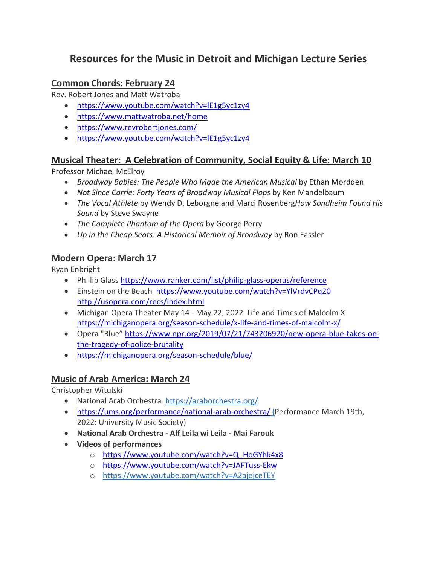# **Resources for the Music in Detroit and Michigan Lecture Series**

#### **Common Chords: February 24**

Rev. Robert Jones and Matt Watroba

- <https://www.youtube.com/watch?v=lE1g5yc1zy4>
- <https://www.mattwatroba.net/home>
- <https://www.revrobertjones.com/>
- <https://www.youtube.com/watch?v=lE1g5yc1zy4>

#### **Musical Theater: A Celebration of Community, Social Equity & Life: March 10**

Professor Michael McElroy

- *Broadway Babies: The People Who Made the American Musical* by Ethan Mordden
- *Not Since Carrie: Forty Years of Broadway Musical Flops* by Ken Mandelbaum
- *The Vocal Athlete* by Wendy D. Leborgne and Marci Rosenberg*How Sondheim Found His Sound* by Steve Swayne
- *The Complete Phantom of the Opera* by George Perry
- *Up in the Cheap Seats: A Historical Memoir of Broadway* by Ron Fassler

#### **Modern Opera: March 17**

Ryan Enbright

- Phillip Glass <https://www.ranker.com/list/philip-glass-operas/reference>
- Einstein on the Beach <https://www.youtube.com/watch?v=YlVrdvCPq20> <http://usopera.com/recs/index.html>
- Michigan Opera Theater May 14 May 22, 2022 Life and Times of Malcolm X <https://michiganopera.org/season-schedule/x-life-and-times-of-malcolm-x/>
- Opera "Blue" [https://www.npr.org/2019/07/21/743206920/new-opera-blue-takes-on](https://www.npr.org/2019/07/21/743206920/new-opera-blue-takes-on-the-tragedy-of-police-brutality)[the-tragedy-of-police-brutality](https://www.npr.org/2019/07/21/743206920/new-opera-blue-takes-on-the-tragedy-of-police-brutality)
- <https://michiganopera.org/season-schedule/blue/>

## **Music of Arab America: March 24**

Christopher Witulski

- National Arab Orchestra <https://araborchestra.org/>
- <https://ums.org/performance/national-arab-orchestra/> (Performance March 19th, 2022: University Music Society)
- **National Arab Orchestra - Alf Leila wi Leila - Mai Farouk**
- **Videos of performances**
	- o [https://www.youtube.com/watch?v=Q\\_HoGYhk4x8](https://www.youtube.com/watch?v=Q_HoGYhk4x8)
	- o <https://www.youtube.com/watch?v=JAFTuss-Ekw>
	- o <https://www.youtube.com/watch?v=A2ajejceTEY>